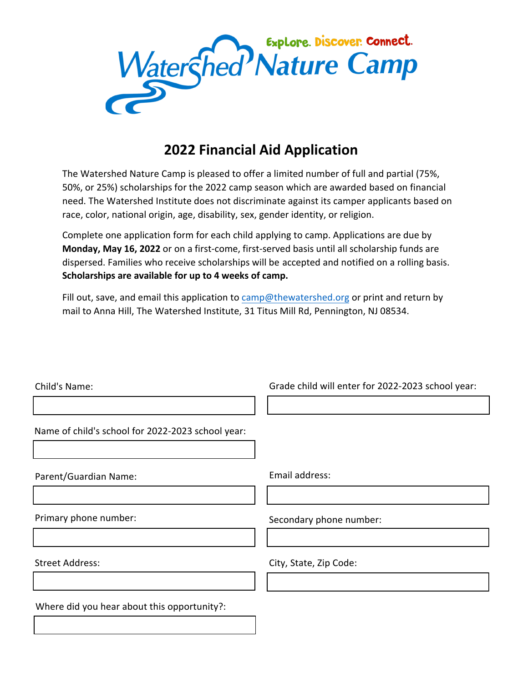

# **2022 Financial Aid Application**

The Watershed Nature Camp is pleased to offer a limited number of full and partial (75%, 50%, or 25%) scholarships for the 2022 camp season which are awarded based on financial need. The Watershed Institute does not discriminate against its camper applicants based on race, color, national origin, age, disability, sex, gender identity, or religion.

Complete one application form for each child applying to camp. Applications are due by **Monday, May 16, 2022** or on a first-come, first-served basis until all scholarship funds are dispersed. Families who receive scholarships will be accepted and notified on a rolling basis. **Scholarships are available for up to 4 weeks of camp.** 

Fill out, save, and email this application to [camp@thewatershed.org](mailto:camp@thewatershed.org) or print and return by mail to Anna Hill, The Watershed Institute, 31 Titus Mill Rd, Pennington, NJ 08534.

| Child's Name:                                     | Grade child will enter for 2022-2023 school year: |
|---------------------------------------------------|---------------------------------------------------|
|                                                   |                                                   |
| Name of child's school for 2022-2023 school year: |                                                   |
|                                                   |                                                   |
| Parent/Guardian Name:                             | Email address:                                    |
|                                                   |                                                   |
| Primary phone number:                             | Secondary phone number:                           |
|                                                   |                                                   |
| <b>Street Address:</b>                            | City, State, Zip Code:                            |
|                                                   |                                                   |
| Where did you hear about this opportunity?:       |                                                   |
|                                                   |                                                   |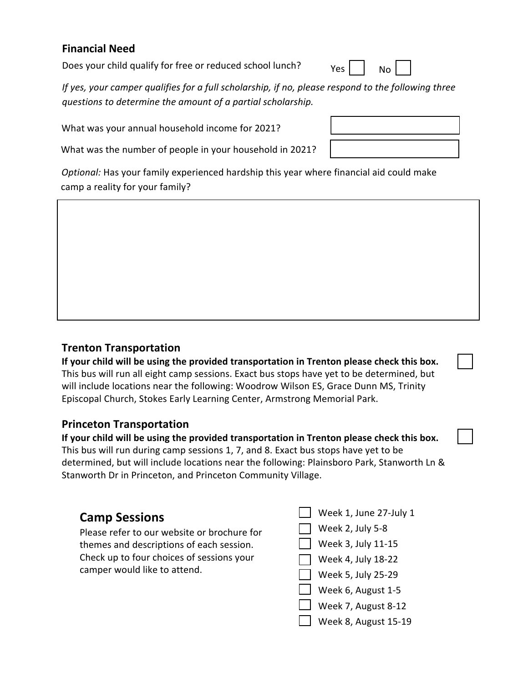#### **Financial Need**

Does your child qualify for free or reduced school lunch?

*If yes, your camper qualifies for a full scholarship, if no, please respond to the following three questions to determine the amount of a partial scholarship.*

What was your annual household income for 2021?

What was the number of people in your household in 2021?

*Optional:* Has your family experienced hardship this year where financial aid could make camp a reality for your family?

#### **Trenton Transportation**

**If your child will be using the provided transportation in Trenton please check this box.** This bus will run all eight camp sessions. Exact bus stops have yet to be determined, but will include locations near the following: Woodrow Wilson ES, Grace Dunn MS, Trinity Episcopal Church, Stokes Early Learning Center, Armstrong Memorial Park.

#### **Princeton Transportation**

**If your child will be using the provided transportation in Trenton please check this box.** This bus will run during camp sessions 1, 7, and 8. Exact bus stops have yet to be determined, but will include locations near the following: Plainsboro Park, Stanworth Ln & Stanworth Dr in Princeton, and Princeton Community Village.

### **Camp Sessions**

Please refer to our website or brochure for themes and descriptions of each session. Check up to four choices of sessions your camper would like to attend.

Week 1, June 27-July 1  $\sqrt{ }$  Week 2, July 5-8 Week 3, July 11-15 Week 4, July 18-22 Week 5, July 25-29 Week 6, August 1-5 Week 7, August 8-12



Week 8, August 15-19